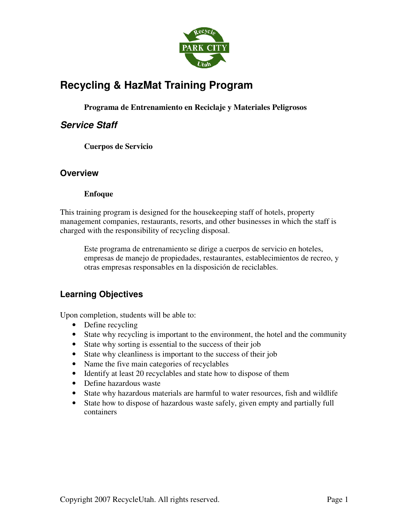

# **Recycling & HazMat Training Program**

**Programa de Entrenamiento en Reciclaje y Materiales Peligrosos** 

# **Service Staff**

**Cuerpos de Servicio** 

# **Overview**

## **Enfoque**

This training program is designed for the housekeeping staff of hotels, property management companies, restaurants, resorts, and other businesses in which the staff is charged with the responsibility of recycling disposal.

Este programa de entrenamiento se dirige a cuerpos de servicio en hoteles, empresas de manejo de propiedades, restaurantes, establecimientos de recreo, y otras empresas responsables en la disposición de reciclables.

# **Learning Objectives**

Upon completion, students will be able to:

- Define recycling
- State why recycling is important to the environment, the hotel and the community
- State why sorting is essential to the success of their job
- State why cleanliness is important to the success of their job
- Name the five main categories of recyclables
- Identify at least 20 recyclables and state how to dispose of them
- Define hazardous waste
- State why hazardous materials are harmful to water resources, fish and wildlife
- State how to dispose of hazardous waste safely, given empty and partially full containers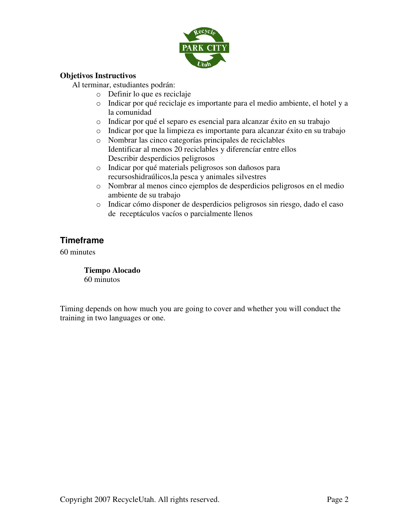

#### **Objetivos Instructivos**

Al terminar, estudiantes podrán:

- o Definir lo que es reciclaje
- o Indicar por qué reciclaje es importante para el medio ambiente, el hotel y a la comunidad
- o Indicar por qué el separo es esencial para alcanzar éxito en su trabajo
- o Indicar por que la limpieza es importante para alcanzar éxito en su trabajo
- o Nombrar las cinco categorías principales de reciclables Identificar al menos 20 reciclables y diferencíar entre ellos Describir desperdicios peligrosos
- o Indicar por qué materials peligrosos son dañosos para recursoshidraúlicos,la pesca y animales silvestres
- o Nombrar al menos cinco ejemplos de desperdicios peligrosos en el medio ambiente de su trabajo
- o Indicar cómo disponer de desperdicios peligrosos sin riesgo, dado el caso de receptáculos vacíos o parcialmente llenos

# **Timeframe**

60 minutes

**Tiempo Alocado**  60 minutos

Timing depends on how much you are going to cover and whether you will conduct the training in two languages or one.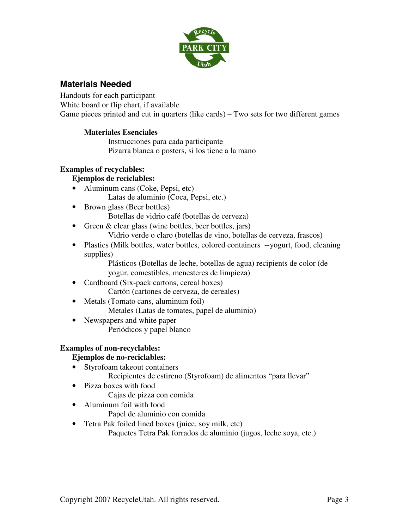

# **Materials Needed**

Handouts for each participant White board or flip chart, if available Game pieces printed and cut in quarters (like cards) – Two sets for two different games

## **Materiales Esenciales**

Instrucciones para cada participante Pizarra blanca o posters, si los tiene a la mano

## **Examples of recyclables:**

## **Ejemplos de reciclables:**

- Aluminum cans (Coke, Pepsi, etc) Latas de aluminio (Coca, Pepsi, etc.)
- Brown glass (Beer bottles) Botellas de vidrio café (botellas de cerveza)
- Green & clear glass (wine bottles, beer bottles, jars)
	- Vidrio verde o claro (botellas de vino, botellas de cerveza, frascos)
- Plastics (Milk bottles, water bottles, colored containers --yogurt, food, cleaning supplies)

Plásticos (Botellas de leche, botellas de agua) recipients de color (de yogur, comestibles, menesteres de limpieza)

- Cardboard (Six-pack cartons, cereal boxes) Cartón (cartones de cerveza, de cereales)
- Metals (Tomato cans, aluminum foil) Metales (Latas de tomates, papel de aluminio)
- Newspapers and white paper Periódicos y papel blanco

## **Examples of non-recyclables:**

# **Ejemplos de no-reciclables:**

- Styrofoam takeout containers Recipientes de estireno (Styrofoam) de alimentos "para llevar"
- Pizza boxes with food
	- Cajas de pizza con comida
- Aluminum foil with food

Papel de aluminio con comida

• Tetra Pak foiled lined boxes (juice, soy milk, etc)

Paquetes Tetra Pak forrados de aluminio (jugos, leche soya, etc.)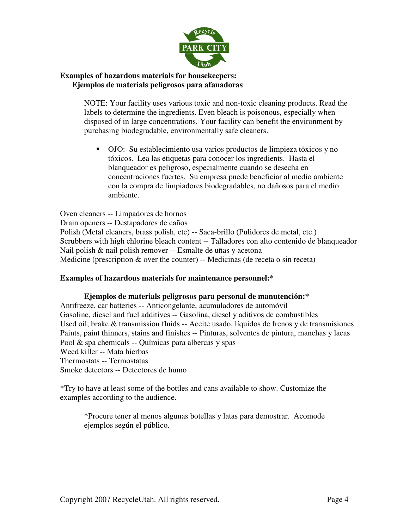

#### **Examples of hazardous materials for housekeepers: Ejemplos de materials peligrosos para afanadoras**

NOTE: Your facility uses various toxic and non-toxic cleaning products. Read the labels to determine the ingredients. Even bleach is poisonous, especially when disposed of in large concentrations. Your facility can benefit the environment by purchasing biodegradable, environmentally safe cleaners.

 OJO: Su establecimiento usa varios productos de limpieza tóxicos y no tóxicos. Lea las etiquetas para conocer los ingredients. Hasta el blanqueador es peligroso, especialmente cuando se desecha en concentraciones fuertes. Su empresa puede beneficiar al medio ambiente con la compra de limpiadores biodegradables, no dañosos para el medio ambiente.

Oven cleaners -- Limpadores de hornos Drain openers -- Destapadores de caños Polish (Metal cleaners, brass polish, etc) -- Saca-brillo (Pulidores de metal, etc.) Scrubbers with high chlorine bleach content -- Talladores con alto contenido de blanqueador Nail polish & nail polish remover -- Esmalte de uñas y acetona Medicine (prescription & over the counter) -- Medicinas (de receta o sin receta)

## **Examples of hazardous materials for maintenance personnel:\***

**Ejemplos de materials peligrosos para personal de manutención:\***  Antifreeze, car batteries -- Anticongelante, acumuladores de automóvil Gasoline, diesel and fuel additives -- Gasolina, diesel y aditivos de combustibles Used oil, brake & transmission fluids -- Aceite usado, líquidos de frenos y de transmisiones Paints, paint thinners, stains and finishes -- Pinturas, solventes de pintura, manchas y lacas Pool & spa chemicals -- Químicas para albercas y spas Weed killer -- Mata hierbas Thermostats -- Termostatas Smoke detectors -- Detectores de humo

\*Try to have at least some of the bottles and cans available to show. Customize the examples according to the audience.

\*Procure tener al menos algunas botellas y latas para demostrar. Acomode ejemplos según el público.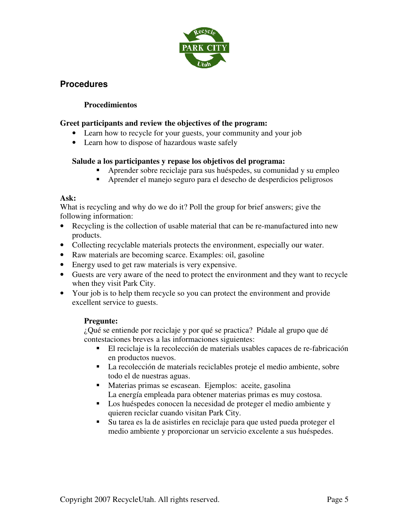

# **Procedures**

## **Procedimientos**

## **Greet participants and review the objectives of the program:**

- Learn how to recycle for your guests, your community and your job
- Learn how to dispose of hazardous waste safely

## **Salude a los participantes y repase los objetivos del programa:**

- Aprender sobre reciclaje para sus huéspedes, su comunidad y su empleo
- Aprender el manejo seguro para el desecho de desperdicios peligrosos

## **Ask:**

What is recycling and why do we do it? Poll the group for brief answers; give the following information:

- Recycling is the collection of usable material that can be re-manufactured into new products.
- Collecting recyclable materials protects the environment, especially our water.
- Raw materials are becoming scarce. Examples: oil, gasoline
- Energy used to get raw materials is very expensive.
- Guests are very aware of the need to protect the environment and they want to recycle when they visit Park City.
- Your job is to help them recycle so you can protect the environment and provide excellent service to guests.

# **Pregunte:**

¿Qué se entiende por reciclaje y por qué se practica? Pídale al grupo que dé contestaciones breves a las informaciones siguientes:

- El reciclaje is la recolección de materials usables capaces de re-fabricación en productos nuevos.
- La recolección de materials reciclables proteje el medio ambiente, sobre todo el de nuestras aguas.
- Materias primas se escasean. Ejemplos: aceite, gasolina La energía empleada para obtener materias primas es muy costosa.
- Los huéspedes conocen la necesidad de proteger el medio ambiente y quieren reciclar cuando visitan Park City.
- Su tarea es la de asistirles en reciclaje para que usted pueda proteger el medio ambiente y proporcionar un servicio excelente a sus huéspedes.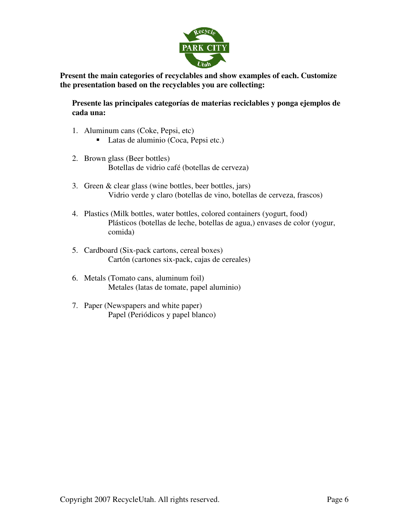

**Present the main categories of recyclables and show examples of each. Customize the presentation based on the recyclables you are collecting:** 

**Presente las principales categorías de materias reciclables y ponga ejemplos de cada una:** 

- 1. Aluminum cans (Coke, Pepsi, etc)
	- Latas de aluminio (Coca, Pepsi etc.)
- 2. Brown glass (Beer bottles) Botellas de vidrio café (botellas de cerveza)
- 3. Green & clear glass (wine bottles, beer bottles, jars) Vidrio verde y claro (botellas de vino, botellas de cerveza, frascos)
- 4. Plastics (Milk bottles, water bottles, colored containers (yogurt, food) Plásticos (botellas de leche, botellas de agua,) envases de color (yogur, comida)
- 5. Cardboard (Six-pack cartons, cereal boxes) Cartón (cartones six-pack, cajas de cereales)
- 6. Metals (Tomato cans, aluminum foil) Metales (latas de tomate, papel aluminio)
- 7. Paper (Newspapers and white paper) Papel (Periódicos y papel blanco)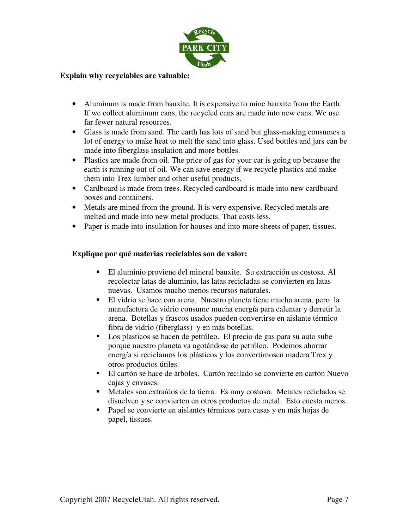

#### **Explain why recyclables are valuable:**

- Aluminum is made from bauxite. It is expensive to mine bauxite from the Earth. If we collect aluminum cans, the recycled cans are made into new cans. We use far fewer natural resources.
- Glass is made from sand. The earth has lots of sand but glass-making consumes a lot of energy to make heat to melt the sand into glass. Used bottles and jars can be made into fiberglass insulation and more bottles.
- Plastics are made from oil. The price of gas for your car is going up because the earth is running out of oil. We can save energy if we recycle plastics and make them into Trex lumber and other useful products.
- Cardboard is made from trees. Recycled cardboard is made into new cardboard boxes and containers.
- Metals are mined from the ground. It is very expensive. Recycled metals are melted and made into new metal products. That costs less.
- Paper is made into insulation for houses and into more sheets of paper, tissues.

#### **Explique por qué materias reciclables son de valor:**

- El aluminio proviene del mineral bauxite. Su extracción es costosa. Al recolectar latas de aluminio, las latas recicladas se convierten en latas nuevas. Usamos mucho menos recursos naturales.
- El vidrio se hace con arena. Nuestro planeta tiene mucha arena, pero la manufactura de vidrio consume mucha energía para calentar y derretir la arena. Botellas y frascos usados pueden convertirse en aislante térmico fibra de vidrio (fiberglass) y en más botellas.
- Los plasticos se hacen de petróleo. El precio de gas para su auto sube porque nuestro planeta va agotándose de petróleo. Podemos ahorrar energía si reciclamos los plásticos y los convertimosen madera Trex y otros productos útiles.
- El cartón se hace de árboles. Cartón recilado se convierte en cartón Nuevo cajas y envases.
- Metales son extraídos de la tierra. Es muy costoso. Metales reciclados se disuelven y se convierten en otros productos de metal. Esto cuesta menos.
- Papel se convierte en aislantes térmicos para casas y en más hojas de papel, tissues.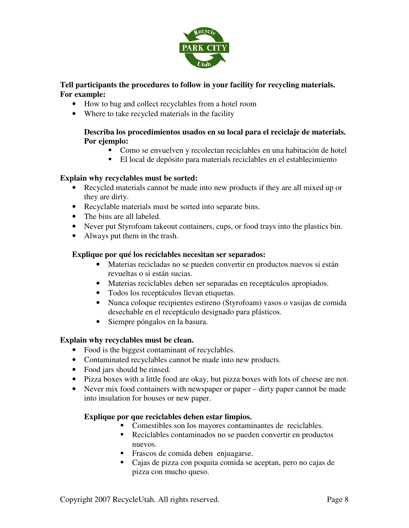

## **Tell participants the procedures to follow in your facility for recycling materials. For example:**

- How to bag and collect recyclables from a hotel room
- Where to take recycled materials in the facility

#### **Describa los procedimientos usados en su local para el reciclaje de materials. Por ejemplo:**

- Como se envuelven y recolectan reciclables en una habitación de hotel
- El local de depósito para materials reciclables en el establecimiento

## **Explain why recyclables must be sorted:**

- Recycled materials cannot be made into new products if they are all mixed up or they are dirty.
- Recyclable materials must be sorted into separate bins.
- The bins are all labeled.
- Never put Styrofoam takeout containers, cups, or food trays into the plastics bin.
- Always put them in the trash.

## **Explique por qué los reciclables necesitan ser separados:**

- Materias recicladas no se pueden convertir en productos nuevos si están revueltas o si están sucias.
- Materias reciclables deben ser separadas en receptáculos apropiados.
- Todos los receptáculos llevan etiquetas.
- Nunca coloque recipientes estireno (Styrofoam) vasos o vasijas de comida desechable en el receptáculo designado para plásticos.
- Siempre póngalos en la basura.

## **Explain why recyclables must be clean.**

- Food is the biggest contaminant of recyclables.
- Contaminated recyclables cannot be made into new products.
- Food jars should be rinsed.
- Pizza boxes with a little food are okay, but pizza boxes with lots of cheese are not.
- Never mix food containers with newspaper or paper dirty paper cannot be made into insulation for houses or new paper.

## **Explique por que reciclables deben estar limpios.**

- Comestibles son los mayores contaminantes de reciclables.
- Reciclables contaminados no se pueden convertir en productos nuevos.
- Frascos de comida deben enjuagarse.
- Cajas de pizza con poquita comida se aceptan, pero no cajas de pizza con mucho queso.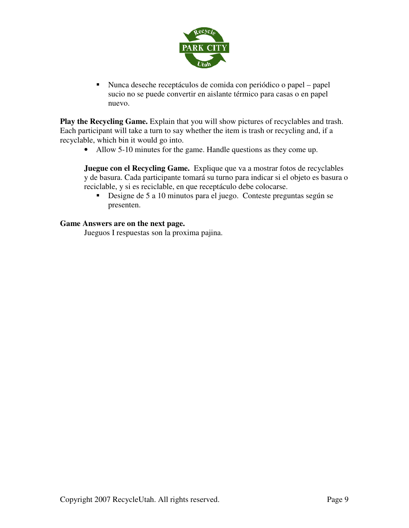

 Nunca deseche receptáculos de comida con periódico o papel – papel sucio no se puede convertir en aislante térmico para casas o en papel nuevo.

**Play the Recycling Game.** Explain that you will show pictures of recyclables and trash. Each participant will take a turn to say whether the item is trash or recycling and, if a recyclable, which bin it would go into.

• Allow 5-10 minutes for the game. Handle questions as they come up.

**Juegue con el Recycling Game.** Explique que va a mostrar fotos de recyclables y de basura. Cada participante tomará su turno para indicar si el objeto es basura o reciclable, y si es reciclable, en que receptáculo debe colocarse.

 Designe de 5 a 10 minutos para el juego. Conteste preguntas según se presenten.

#### **Game Answers are on the next page.**

Jueguos I respuestas son la proxima pajina.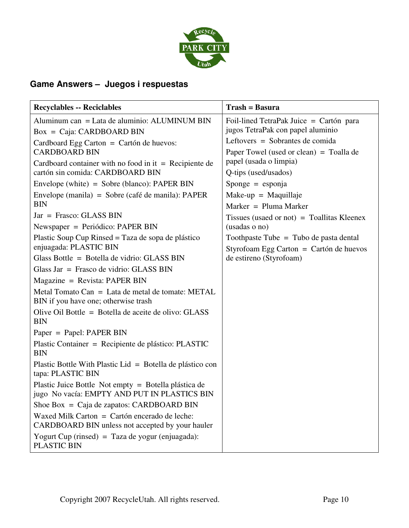

# **Game Answers – Juegos i respuestas**

| <b>Recyclables -- Reciclables</b>                                                                                                                                                                                                                                                                                                                                                                                                                                                                                                                                                                                                                              | $Transh = Bas ura$                                                                                                                                                                                                                                                                                                                                                                                    |
|----------------------------------------------------------------------------------------------------------------------------------------------------------------------------------------------------------------------------------------------------------------------------------------------------------------------------------------------------------------------------------------------------------------------------------------------------------------------------------------------------------------------------------------------------------------------------------------------------------------------------------------------------------------|-------------------------------------------------------------------------------------------------------------------------------------------------------------------------------------------------------------------------------------------------------------------------------------------------------------------------------------------------------------------------------------------------------|
| Aluminum can = Lata de aluminio: ALUMINUM BIN<br>$Box = Caja: CARDBOARD BIN$                                                                                                                                                                                                                                                                                                                                                                                                                                                                                                                                                                                   | Foil-lined TetraPak Juice = Cartón para<br>jugos TetraPak con papel aluminio                                                                                                                                                                                                                                                                                                                          |
| Cardboard Egg Carton = Cartón de huevos:<br><b>CARDBOARD BIN</b><br>Cardboard container with no food in it $=$ Recipiente de<br>cartón sin comida: CARDBOARD BIN<br>Envelope (white) = $Sobre$ (blanco): PAPER BIN<br>Envelope (manila) = Sobre (café de manila): PAPER<br><b>BIN</b><br>Jar = Frasco: GLASS BIN<br>Newspaper = Periódico: PAPER BIN<br>Plastic Soup Cup Rinsed = Taza de sopa de plástico<br>enjuagada: PLASTIC BIN<br>Glass Bottle = Botella de vidrio: GLASS BIN<br>Glass Jar = Frasco de vidrio: GLASS BIN<br>$Magazine = Revista: PAPER BIN$<br>Metal Tomato Can = Lata de metal de tomate: METAL<br>BIN if you have one; otherwise trash | Leftovers = Sobrantes de comida<br>Paper Towel (used or clean) = Toalla de<br>papel (usada o limpia)<br>Q-tips (used/usados)<br>$S_{\text{ponge}} = \text{esponja}$<br>Make-up = Maquillaje<br>Marker = $Pluma Market$<br>Tissues (usaed or not) = Toallitas Kleenex<br>(usadas o no)<br>Toothpaste Tube = Tubo de pasta dental<br>Styrofoam Egg Carton = Cartón de huevos<br>de estireno (Styrofoam) |
| Olive Oil Bottle = Botella de aceite de olivo: GLASS<br><b>BIN</b>                                                                                                                                                                                                                                                                                                                                                                                                                                                                                                                                                                                             |                                                                                                                                                                                                                                                                                                                                                                                                       |
| Paper = Papel: PAPER BIN<br>Plastic Container = Recipiente de plástico: PLASTIC<br><b>BIN</b><br>Plastic Bottle With Plastic Lid = Botella de plástico con<br>tapa: PLASTIC BIN                                                                                                                                                                                                                                                                                                                                                                                                                                                                                |                                                                                                                                                                                                                                                                                                                                                                                                       |
| Plastic Juice Bottle Not empty = Botella plástica de<br>jugo No vacía: EMPTY AND PUT IN PLASTICS BIN<br>Shoe Box = Caja de zapatos: CARDBOARD BIN                                                                                                                                                                                                                                                                                                                                                                                                                                                                                                              |                                                                                                                                                                                                                                                                                                                                                                                                       |
| Waxed Milk Carton = Cartón encerado de leche:<br>CARDBOARD BIN unless not accepted by your hauler<br>Yogurt Cup (rinsed) = Taza de yogur (enjuagada):                                                                                                                                                                                                                                                                                                                                                                                                                                                                                                          |                                                                                                                                                                                                                                                                                                                                                                                                       |
| <b>PLASTIC BIN</b>                                                                                                                                                                                                                                                                                                                                                                                                                                                                                                                                                                                                                                             |                                                                                                                                                                                                                                                                                                                                                                                                       |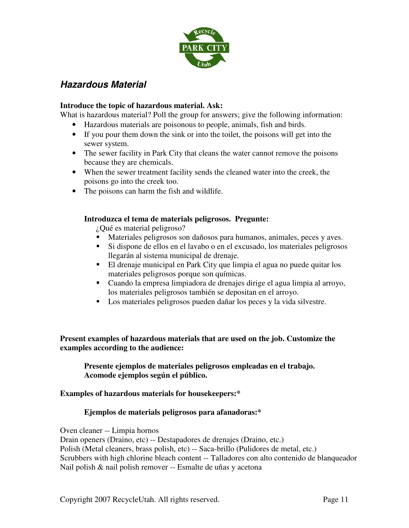

# **Hazardous Material**

#### **Introduce the topic of hazardous material. Ask:**

What is hazardous material? Poll the group for answers; give the following information:

- Hazardous materials are poisonous to people, animals, fish and birds.
- If you pour them down the sink or into the toilet, the poisons will get into the sewer system.
- The sewer facility in Park City that cleans the water cannot remove the poisons because they are chemicals.
- When the sewer treatment facility sends the cleaned water into the creek, the poisons go into the creek too.
- The poisons can harm the fish and wildlife.

#### **Introduzca el tema de materials peligrosos. Pregunte:**

¿Qué es material peligroso?

- Materiales peligrosos son dañosos para humanos, animales, peces y aves.
- Si dispone de ellos en el lavabo o en el excusado, los materiales peligrosos llegarán al sistema municipal de drenaje.
- El drenaje municipal en Park City que limpia el agua no puede quitar los materiales peligrosos porque son químicas.
- Cuando la empresa limpiadora de drenajes dirige el agua limpia al arroyo, los materiales peligrosos también se depositan en el arroyo.
- Los materiales peligrosos pueden dañar los peces y la vida silvestre.

**Present examples of hazardous materials that are used on the job. Customize the examples according to the audience:** 

**Presente ejemplos de materiales peligrosos empleadas en el trabajo. Acomode ejemplos según el público.** 

## **Examples of hazardous materials for housekeepers:\***

## **Ejemplos de materials peligrosos para afanadoras:\***

Oven cleaner -- Limpia hornos

Drain openers (Draino, etc) -- Destapadores de drenajes (Draino, etc.) Polish (Metal cleaners, brass polish, etc) -- Saca-brillo (Pulidores de metal, etc.) Scrubbers with high chlorine bleach content -- Talladores con alto contenido de blanqueador Nail polish & nail polish remover -- Esmalte de uñas y acetona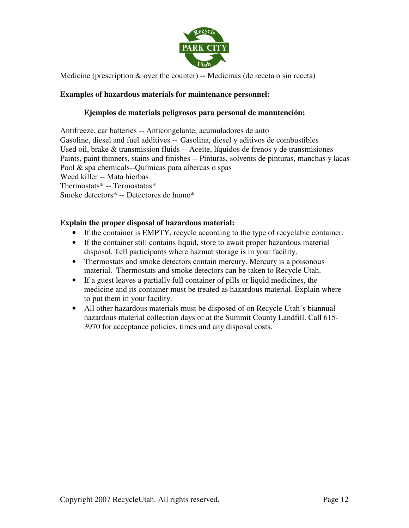

Medicine (prescription  $\&$  over the counter) -- Medicinas (de receta o sin receta)

#### **Examples of hazardous materials for maintenance personnel:**

#### **Ejemplos de materials peligrosos para personal de manutención:**

Antifreeze, car batteries -- Anticongelante, acumuladores de auto Gasoline, diesel and fuel additives -- Gasolina, diesel y aditivos de combustibles Used oil, brake & transmission fluids -- Aceite, líquidos de frenos y de transmisiones Paints, paint thinners, stains and finishes -- Pinturas, solvents de pinturas, manchas y lacas Pool & spa chemicals--Químicas para albercas o spas Weed killer -- Mata hierbas Thermostats\* -- Termostatas\* Smoke detectors\* -- Detectores de humo\*

#### **Explain the proper disposal of hazardous material:**

- If the container is EMPTY, recycle according to the type of recyclable container.
- If the container still contains liquid, store to await proper hazardous material disposal. Tell participants where hazmat storage is in your facility.
- Thermostats and smoke detectors contain mercury. Mercury is a poisonous material. Thermostats and smoke detectors can be taken to Recycle Utah.
- If a guest leaves a partially full container of pills or liquid medicines, the medicine and its container must be treated as hazardous material. Explain where to put them in your facility.
- All other hazardous materials must be disposed of on Recycle Utah's biannual hazardous material collection days or at the Summit County Landfill. Call 615- 3970 for acceptance policies, times and any disposal costs.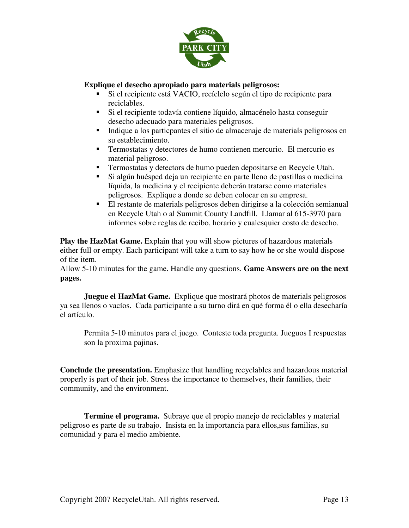

#### **Explique el desecho apropiado para materials peligrosos:**

- Si el recipiente está VACIO, recíclelo según el tipo de recipiente para reciclables.
- Si el recipiente todavía contiene líquido, almacénelo hasta conseguir desecho adecuado para materiales peligrosos.
- Indique a los particpantes el sitio de almacenaje de materials peligrosos en su establecimiento.
- Termostatas y detectores de humo contienen mercurio. El mercurio es material peligroso.
- Termostatas y detectors de humo pueden depositarse en Recycle Utah.
- Si algún huésped deja un recipiente en parte lleno de pastillas o medicina líquida, la medicina y el recipiente deberán tratarse como materiales peligrosos. Explique a donde se deben colocar en su empresa.
- El restante de materials peligrosos deben dirigirse a la colección semianual en Recycle Utah o al Summit County Landfill. Llamar al 615-3970 para informes sobre reglas de recibo, horario y cualesquier costo de desecho.

**Play the HazMat Game.** Explain that you will show pictures of hazardous materials either full or empty. Each participant will take a turn to say how he or she would dispose of the item.

Allow 5-10 minutes for the game. Handle any questions. **Game Answers are on the next pages.** 

**Juegue el HazMat Game.** Explique que mostrará photos de materials peligrosos ya sea llenos o vacíos. Cada participante a su turno dirá en qué forma él o ella desecharía el artículo.

Permita 5-10 minutos para el juego. Conteste toda pregunta. Jueguos I respuestas son la proxima pajinas.

**Conclude the presentation.** Emphasize that handling recyclables and hazardous material properly is part of their job. Stress the importance to themselves, their families, their community, and the environment.

**Termine el programa.** Subraye que el propio manejo de reciclables y material peligroso es parte de su trabajo. Insista en la importancia para ellos,sus familias, su comunidad y para el medio ambiente.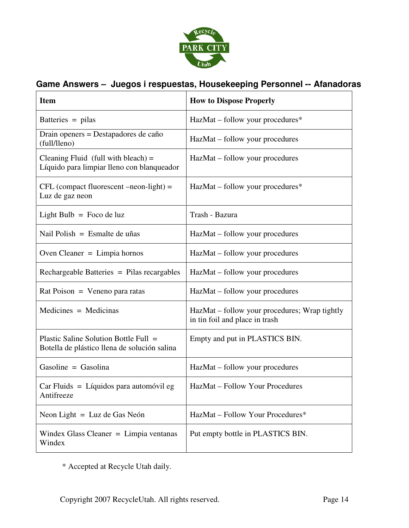

# **Game Answers – Juegos i respuestas, Housekeeping Personnel -- Afanadoras**

| <b>Item</b>                                                                           | <b>How to Dispose Properly</b>                                                  |
|---------------------------------------------------------------------------------------|---------------------------------------------------------------------------------|
| Batteries $=$ pilas                                                                   | HazMat – follow your procedures*                                                |
| Drain openers = Destapadores de caño<br>(full/lleno)                                  | HazMat – follow your procedures                                                 |
| Cleaning Fluid (full with bleach) $=$<br>Líquido para limpiar lleno con blanqueador   | HazMat – follow your procedures                                                 |
| $CFL$ (compact fluorescent $-neon-light$ ) =<br>Luz de gaz neon                       | HazMat – follow your procedures*                                                |
| Light Bulb = Foco de luz                                                              | Trash - Bazura                                                                  |
| Nail Polish = Esmalte de uñas                                                         | HazMat – follow your procedures                                                 |
| Oven Cleaner = $Limpia$ hornos                                                        | HazMat – follow your procedures                                                 |
| Rechargeable Batteries = Pilas recargables                                            | HazMat – follow your procedures                                                 |
| $Rat Poison = Veneno para ratas$                                                      | HazMat - follow your procedures                                                 |
| $Medicines = Medicinas$                                                               | HazMat – follow your procedures; Wrap tightly<br>in tin foil and place in trash |
| Plastic Saline Solution Bottle Full =<br>Botella de plástico llena de solución salina | Empty and put in PLASTICS BIN.                                                  |
| Gasoline = $Gasolina$                                                                 | HazMat - follow your procedures                                                 |
| $Car Fluids = Líquidos para automóvil eg$<br>Antifreeze                               | HazMat - Follow Your Procedures                                                 |
| Neon Light $=$ Luz de Gas Neón                                                        | HazMat – Follow Your Procedures*                                                |
| Windex Glass Cleaner $=$ Limpia ventanas<br>Windex                                    | Put empty bottle in PLASTICS BIN.                                               |

\* Accepted at Recycle Utah daily.